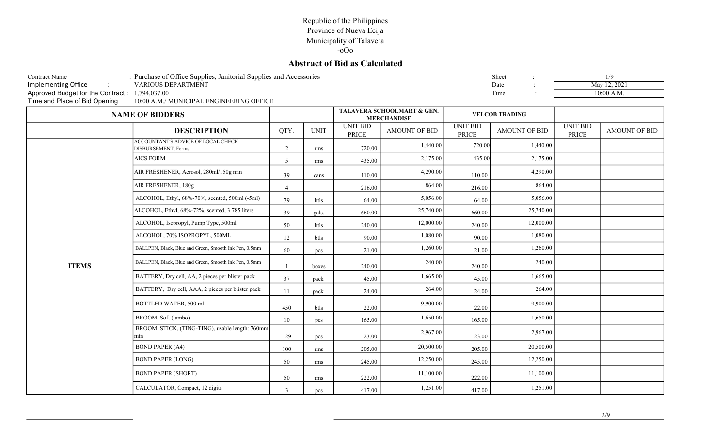## Republic of the Philippines Province of Nueva Ecija Municipality of Talavera

-oOo

## Abstract of Bid as Calculated

| <b>Contract Name</b>                           | : Purchase of Office Supplies, Janitorial Supplies and Accessories |             |              |          |                                                  |          | Sheet                 |          |                                              |
|------------------------------------------------|--------------------------------------------------------------------|-------------|--------------|----------|--------------------------------------------------|----------|-----------------------|----------|----------------------------------------------|
| Implementing Office                            | <b>VARIOUS DEPARTMENT</b>                                          |             |              |          |                                                  |          | Date                  |          | May 12, 2021                                 |
| Approved Budget for the Contract: 1,794,037.00 |                                                                    |             |              |          |                                                  |          | Time                  |          | $10:00$ A.M.                                 |
| Time and Place of Bid Opening                  | $\therefore$ 10:00 A.M./ MUNICIPAL ENGINEERING OFFICE              |             |              |          |                                                  |          |                       |          |                                              |
|                                                | <b>NAME OF BIDDERS</b>                                             |             |              |          | TALAVERA SCHOOLMART & GEN.<br><b>MERCHANDISE</b> |          | <b>VELCOB TRADING</b> |          |                                              |
|                                                | <b>DECCDIDTION</b>                                                 | $\alpha$ TV | <b>LIMIT</b> | UNIT BID | A MOLINIT OF DID                                 | UNIT BID | A MOLINIT OF DID      | UNIT BID | $\Lambda$ $\Lambda$ $\Lambda$ $\Lambda$ I IN |

|              |                                                           |                |             |                          | <b>MERCHANDISE</b>   |                          |                      |                          |               |
|--------------|-----------------------------------------------------------|----------------|-------------|--------------------------|----------------------|--------------------------|----------------------|--------------------------|---------------|
|              | <b>DESCRIPTION</b>                                        | QTY.           | <b>UNIT</b> | <b>UNIT BID</b><br>PRICE | <b>AMOUNT OF BID</b> | <b>UNIT BID</b><br>PRICE | <b>AMOUNT OF BID</b> | <b>UNIT BID</b><br>PRICE | AMOUNT OF BID |
|              | ACCOUNTANT'S ADVICE OF LOCAL CHECK<br>DISBURSEMENT, Forms | 2              | rms         | 720.00                   | 1,440.00             | 720.00                   | 1,440.00             |                          |               |
|              | <b>AICS FORM</b>                                          | 5              | rms         | 435.00                   | 2,175.00             | 435.00                   | 2,175.00             |                          |               |
|              | AIR FRESHENER, Aerosol, 280ml/150g min                    | 39             | cans        | 110.00                   | 4,290.00             | 110.00                   | 4,290.00             |                          |               |
|              | AIR FRESHENER, 180g                                       | $\overline{4}$ |             | 216.00                   | 864.00               | 216.00                   | 864.00               |                          |               |
|              | ALCOHOL, Ethyl, 68%-70%, scented, 500ml (-5ml)            | 79             | btls        | 64.00                    | 5,056.00             | 64.00                    | 5,056.00             |                          |               |
|              | ALCOHOL, Ethyl, 68%-72%, scented, 3.785 liters            | 39             | gals.       | 660.00                   | 25,740.00            | 660.00                   | 25,740.00            |                          |               |
|              | ALCOHOL, Isopropyl, Pump Type, 500ml                      | 50             | btls        | 240.00                   | 12,000.00            | 240.00                   | 12,000.00            |                          |               |
|              | ALCOHOL, 70% ISOPROPYL, 500ML                             | 12             | btls        | 90.00                    | 1,080.00             | 90.00                    | 1,080.00             |                          |               |
|              | BALLPEN, Black, Blue and Green, Smooth Ink Pen, 0.5mm     | 60             | pcs         | 21.00                    | 1,260.00             | 21.00                    | 1,260.00             |                          |               |
| <b>ITEMS</b> | BALLPEN, Black, Blue and Green, Smooth Ink Pen, 0.5mm     |                | boxes       | 240.00                   | 240.00               | 240.00                   | 240.00               |                          |               |
|              | BATTERY, Dry cell, AA, 2 pieces per blister pack          | 37             | pack        | 45.00                    | 1,665.00             | 45.00                    | 1,665.00             |                          |               |
|              | BATTERY, Dry cell, AAA, 2 pieces per blister pack         | 11             | pack        | 24.00                    | 264.00               | 24.00                    | 264.00               |                          |               |
|              | BOTTLED WATER, 500 ml                                     | 450            | btls        | 22.00                    | 9,900.00             | 22.00                    | 9,900.00             |                          |               |
|              | BROOM, Soft (tambo)                                       | 10             | pcs         | 165.00                   | 1,650.00             | 165.00                   | 1,650.00             |                          |               |
|              | BROOM STICK, (TING-TING), usable length: 760mm<br>min     | 129            | pcs         | 23.00                    | 2,967.00             | 23.00                    | 2,967.00             |                          |               |
|              | <b>BOND PAPER (A4)</b>                                    | 100            | rms         | 205.00                   | 20,500.00            | 205.00                   | 20,500.00            |                          |               |
|              | <b>BOND PAPER (LONG)</b>                                  | 50             | rms         | 245.00                   | 12,250.00            | 245.00                   | 12,250.00            |                          |               |
|              | <b>BOND PAPER (SHORT)</b>                                 | 50             | rms         | 222.00                   | 11,100.00            | 222.00                   | 11,100.00            |                          |               |
|              | CALCULATOR, Compact, 12 digits                            | $\overline{3}$ | pcs         | 417.00                   | 1,251.00             | 417.00                   | 1,251.00             |                          |               |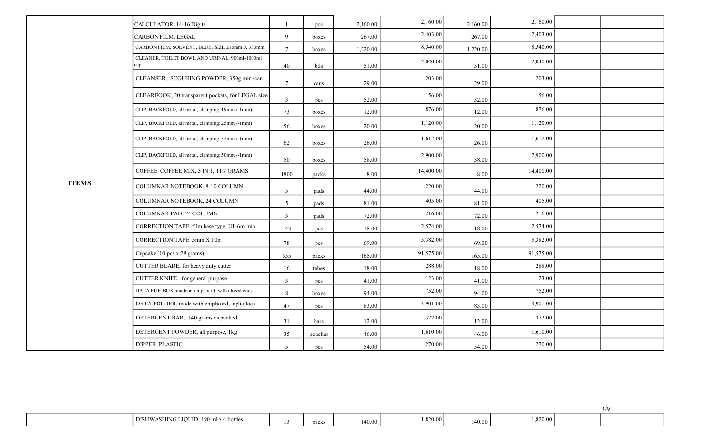|              | CALCULATOR, 14-16 Digits                             |                 | pcs     | 2,160.00 | 2,160.00  | 2,160.00 | 2,160.00  |  |
|--------------|------------------------------------------------------|-----------------|---------|----------|-----------|----------|-----------|--|
|              | CARBON FILM, LEGAL                                   | 9               | boxes   | 267.00   | 2,403.00  | 267.00   | 2,403.00  |  |
|              | CARBON FILM, SOLVENT, BLUE, SIZE 216mm X 330mm       | $7\phantom{.0}$ | boxes   | 1,220.00 | 8,540.00  | 1,220.00 | 8,540.00  |  |
|              | CLEANER, TOILET BOWL AND URINAL, 900ml-1000ml<br>гар | 40              | btls    | 51.00    | 2,040.00  | 51.00    | 2,040.00  |  |
|              | CLEANSER, SCOURING POWDER, 350g min./can             | $7\phantom{.0}$ | cans    | 29.00    | 203.00    | 29.00    | 203.00    |  |
|              | CLEARBOOK, 20 transparent pockets, for LEGAL size    | 3               | pcs     | 52.00    | 156.00    | 52.00    | 156.00    |  |
|              | CLIP, BACKFOLD, all metal, clamping: 19mm (-1mm)     | 73              | boxes   | 12.00    | 876.00    | 12.00    | 876.00    |  |
|              | CLIP, BACKFOLD, all metal, clamping: 25mm (-1mm)     | 56              | boxes   | 20.00    | 1,120.00  | 20.00    | 1,120.00  |  |
|              | CLIP, BACKFOLD, all metal, clamping: 32mm (-1mm)     | 62              | boxes   | 26.00    | 1,612.00  | 26.00    | 1,612.00  |  |
|              | CLIP, BACKFOLD, all metal, clamping: 50mm (-1mm)     | 50              | boxes   | 58.00    | 2,900.00  | 58.00    | 2,900.00  |  |
|              | COFFEE, COFFEE MIX, 3 IN 1, 11.7 GRAMS               | 1800            | packs   | 8.00     | 14,400.00 | 8.00     | 14,400.00 |  |
| <b>ITEMS</b> | COLUMNAR NOTEBOOK, 8-10 COLUMN                       | 5               | pads    | 44.00    | 220.00    | 44.00    | 220.00    |  |
|              | COLUMNAR NOTEBOOK, 24 COLUMN                         | 5               | pads    | 81.00    | 405.00    | 81.00    | 405.00    |  |
|              | COLUMNAR PAD, 24 COLUMN                              | $\overline{3}$  | pads    | 72.00    | 216.00    | 72.00    | 216.00    |  |
|              | CORRECTION TAPE, film base type, UL 6m min           | 143             | pcs     | 18.00    | 2,574.00  | 18.00    | 2,574.00  |  |
|              | CORRECTION TAPE, 5mm X 10m                           | $78\,$          | pcs     | 69.00    | 5,382.00  | 69.00    | 5,382.00  |  |
|              | Cupcake (10 pcs x 28 grams)                          | 555             | packs   | 165.00   | 91,575.00 | 165.00   | 91,575.00 |  |
|              | CUTTER BLADE, for heavy duty cutter                  | 16              | tubes   | 18.00    | 288.00    | 18.00    | 288.00    |  |
|              | CUTTER KNIFE, for general purpose                    | $\overline{3}$  | pcs     | 41.00    | 123.00    | 41.00    | 123.00    |  |
|              | DATA FILE BOX, made of chipboard, with closed ends   | $\,8\,$         | boxes   | 94.00    | 752.00    | 94.00    | 752.00    |  |
|              | DATA FOLDER, made with chipboard, taglia lock        | 47              | pcs     | 83.00    | 3,901.00  | 83.00    | 3,901.00  |  |
|              | DETERGENT BAR, 140 grams as packed                   | 31              | bars    | 12.00    | 372.00    | 12.00    | 372.00    |  |
|              | DETERGENT POWDER, all purpose, 1kg                   | 35              | pouches | 46.00    | 1,610.00  | 46.00    | 1,610.00  |  |
|              | DIPPER, PLASTIC                                      | 5               | pcs     | 54.00    | 270.00    | 54.00    | 270.00    |  |

| I DISHWASHING LIQUID,<br>190 ml x -<br>4 bottles | packs | 140.00 | .820.00 | 140.00 | .820.00 |  |
|--------------------------------------------------|-------|--------|---------|--------|---------|--|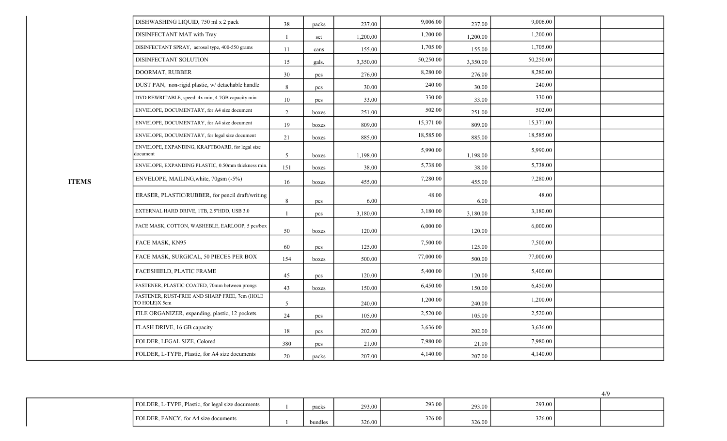| DISHWASHING LIQUID, 750 ml x 2 pack                            | 38             | packs | 237.00   | 9,006.00  | 237.00   | 9,006.00  |  |
|----------------------------------------------------------------|----------------|-------|----------|-----------|----------|-----------|--|
| DISINFECTANT MAT with Tray                                     | $\overline{1}$ | set   | 1,200.00 | 1,200.00  | 1,200.00 | 1,200.00  |  |
| DISINFECTANT SPRAY, aerosol type, 400-550 grams                | 11             | cans  | 155.00   | 1,705.00  | 155.00   | 1,705.00  |  |
| DISINFECTANT SOLUTION                                          | 15             | gals. | 3,350.00 | 50,250.00 | 3,350.00 | 50,250.00 |  |
| DOORMAT, RUBBER                                                | 30             | pcs   | 276.00   | 8,280.00  | 276.00   | 8,280.00  |  |
| DUST PAN, non-rigid plastic, w/ detachable handle              | 8              | pcs   | 30.00    | 240.00    | 30.00    | 240.00    |  |
| DVD REWRITABLE, speed: 4x min, 4.7GB capacity min              | 10             | pcs   | 33.00    | 330.00    | 33.00    | 330.00    |  |
| ENVELOPE, DOCUMENTARY, for A4 size document                    | $\overline{2}$ | boxes | 251.00   | 502.00    | 251.00   | 502.00    |  |
| ENVELOPE, DOCUMENTARY, for A4 size document                    | 19             | boxes | 809.00   | 15,371.00 | 809.00   | 15,371.00 |  |
| ENVELOPE, DOCUMENTARY, for legal size document                 | 21             | boxes | 885.00   | 18,585.00 | 885.00   | 18,585.00 |  |
| ENVELOPE, EXPANDING, KRAFTBOARD, for legal size<br>document    | 5              | boxes | 1,198.00 | 5,990.00  | 1,198.00 | 5,990.00  |  |
| ENVELOPE, EXPANDING PLASTIC, 0.50mm thickness min.             | 151            | boxes | 38.00    | 5,738.00  | 38.00    | 5,738.00  |  |
| ENVELOPE, MAILING, white, 70gsm (-5%)                          | 16             | boxes | 455.00   | 7,280.00  | 455.00   | 7,280.00  |  |
| ERASER, PLASTIC/RUBBER, for pencil draft/writing               | 8              | pcs   | 6.00     | 48.00     | 6.00     | 48.00     |  |
| EXTERNAL HARD DRIVE, 1TB, 2.5"HDD, USB 3.0                     | $\overline{1}$ | pcs   | 3,180.00 | 3,180.00  | 3,180.00 | 3,180.00  |  |
| FACE MASK, COTTON, WASHEBLE, EARLOOP, 5 pcs/box                | 50             | boxes | 120.00   | 6,000.00  | 120.00   | 6,000.00  |  |
| FACE MASK, KN95                                                | 60             | pcs   | 125.00   | 7,500.00  | 125.00   | 7,500.00  |  |
| FACE MASK, SURGICAL, 50 PIECES PER BOX                         | 154            | boxes | 500.00   | 77,000.00 | 500.00   | 77,000.00 |  |
| FACESHIELD, PLATIC FRAME                                       | 45             | pcs   | 120.00   | 5,400.00  | 120.00   | 5,400.00  |  |
| FASTENER, PLASTIC COATED, 70mm between prongs                  | 43             | boxes | 150.00   | 6,450.00  | 150.00   | 6,450.00  |  |
| FASTENER, RUST-FREE AND SHARP FREE, 7cm (HOLE<br>TO HOLE)X 5cm | 5              |       | 240.00   | 1,200.00  | 240.00   | 1,200.00  |  |
| FILE ORGANIZER, expanding, plastic, 12 pockets                 | 24             | pcs   | 105.00   | 2,520.00  | 105.00   | 2,520.00  |  |
| FLASH DRIVE, 16 GB capacity                                    | 18             | pcs   | 202.00   | 3,636.00  | 202.00   | 3,636.00  |  |
| FOLDER, LEGAL SIZE, Colored                                    | 380            | pcs   | 21.00    | 7,980.00  | 21.00    | 7,980.00  |  |
| FOLDER, L-TYPE, Plastic, for A4 size documents                 | 20             | packs | 207.00   | 4,140.00  | 207.00   | 4,140.00  |  |

ITEMS

| TYPE, Plastic, for legal size documents<br>FOLDER,   | packs   | 293.00 | 293.00 | 293.00 | 293.00 |  |
|------------------------------------------------------|---------|--------|--------|--------|--------|--|
| , FANCY, for A4 size documents<br>$'$ FOLDER, $_1$ . | bundles | 326.00 | 326.00 | 326.00 | 326.00 |  |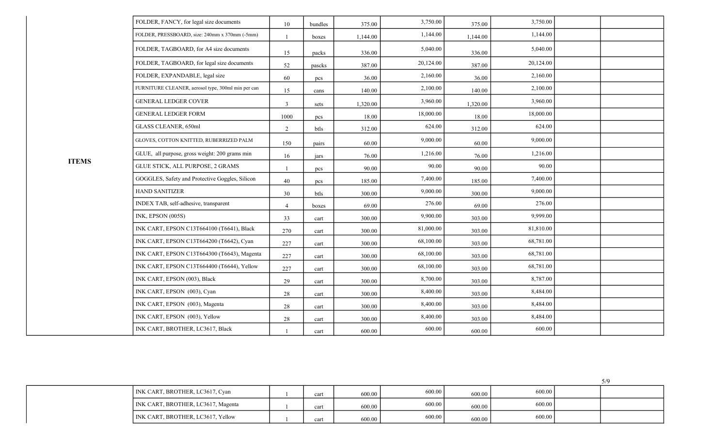| FOLDER, FANCY, for legal size documents            | 10             | bundles | 375.00   | 3,750.00  | 375.00   | 3,750.00  |  |
|----------------------------------------------------|----------------|---------|----------|-----------|----------|-----------|--|
| FOLDER, PRESSBOARD, size: 240mm x 370mm (-5mm)     | $\mathbf{1}$   | boxes   | 1,144.00 | 1,144.00  | 1,144.00 | 1,144.00  |  |
| FOLDER, TAGBOARD, for A4 size documents            | 15             | packs   | 336.00   | 5,040.00  | 336.00   | 5,040.00  |  |
| FOLDER, TAGBOARD, for legal size documents         | 52             | pascks  | 387.00   | 20,124.00 | 387.00   | 20,124.00 |  |
| FOLDER, EXPANDABLE, legal size                     | 60             | pcs     | 36.00    | 2,160.00  | 36.00    | 2,160.00  |  |
| FURNITURE CLEANER, aerosol type, 300ml min per can | 15             | cans    | 140.00   | 2,100.00  | 140.00   | 2,100.00  |  |
| <b>GENERAL LEDGER COVER</b>                        | $\overline{3}$ | sets    | 1,320.00 | 3,960.00  | 1,320.00 | 3,960.00  |  |
| <b>GENERAL LEDGER FORM</b>                         | 1000           | pcs     | 18.00    | 18,000.00 | 18.00    | 18,000.00 |  |
| GLASS CLEANER, 650ml                               | 2              | btls    | 312.00   | 624.00    | 312.00   | 624.00    |  |
| GLOVES, COTTON KNITTED, RUBERRIZED PALM            | 150            | pairs   | 60.00    | 9,000.00  | 60.00    | 9,000.00  |  |
| GLUE, all purpose, gross weight: 200 grams min     | 16             | jars    | 76.00    | 1,216.00  | 76.00    | 1,216.00  |  |
| GLUE STICK, ALL PURPOSE, 2 GRAMS                   |                | pcs     | 90.00    | 90.00     | 90.00    | 90.00     |  |
| GOGGLES, Safety and Protective Goggles, Silicon    | 40             | pcs     | 185.00   | 7,400.00  | 185.00   | 7,400.00  |  |
| <b>HAND SANITIZER</b>                              | 30             | btls    | 300.00   | 9,000.00  | 300.00   | 9,000.00  |  |
| INDEX TAB, self-adhesive, transparent              | $\overline{4}$ | boxes   | 69.00    | 276.00    | 69.00    | 276.00    |  |
| INK, EPSON (005S)                                  | 33             | cart    | 300.00   | 9,900.00  | 303.00   | 9,999.00  |  |
| INK CART, EPSON C13T664100 (T6641), Black          | 270            | cart    | 300.00   | 81,000.00 | 303.00   | 81,810.00 |  |
| INK CART, EPSON C13T664200 (T6642), Cyan           | 227            | cart    | 300.00   | 68,100.00 | 303.00   | 68,781.00 |  |
| INK CART, EPSON C13T664300 (T6643), Magenta        | 227            | cart    | 300.00   | 68,100.00 | 303.00   | 68,781.00 |  |
| INK CART, EPSON C13T664400 (T6644), Yellow         | 227            | cart    | 300.00   | 68,100.00 | 303.00   | 68,781.00 |  |
| INK CART, EPSON (003), Black                       | 29             | cart    | 300.00   | 8,700.00  | 303.00   | 8,787.00  |  |
| INK CART, EPSON (003), Cyan                        | 28             | cart    | 300.00   | 8,400.00  | 303.00   | 8,484.00  |  |
| INK CART, EPSON (003), Magenta                     | $28\,$         | cart    | 300.00   | 8,400.00  | 303.00   | 8,484.00  |  |
| INK CART, EPSON (003), Yellow                      | 28             | cart    | 300.00   | 8,400.00  | 303.00   | 8,484.00  |  |
| INK CART, BROTHER, LC3617, Black                   |                | cart    | 600.00   | 600.00    | 600.00   | 600.00    |  |

ITEMS

| INK CART, BROTHER, LC3617, Cyan    | cart | 600.00 | 600.00 | 600.00 | 600.00 |  |
|------------------------------------|------|--------|--------|--------|--------|--|
| INK CART, BROTHER, LC3617, Magenta | cart | 600.00 | 600.00 | 600.00 | 600.00 |  |
| INK CART, BROTHER, LC3617, Yellow  | cart | 600.00 | 600.00 | 600.00 | 600.00 |  |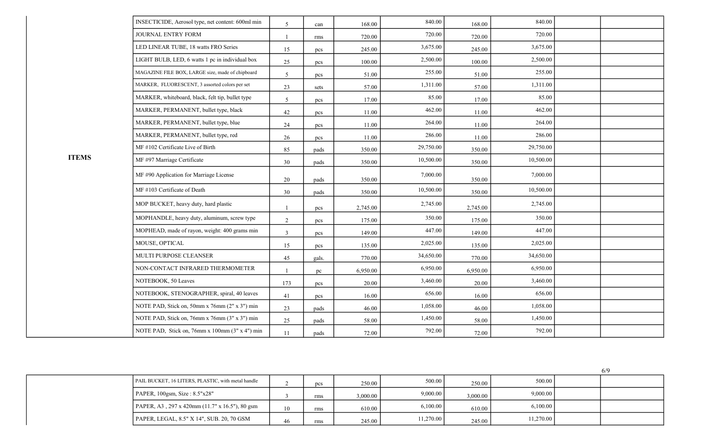|              | INSECTICIDE, Aerosol type, net content: 600ml min | $\overline{5}$ | can   | 168.00   | 840.00    | 168.00   | 840.00    |  |
|--------------|---------------------------------------------------|----------------|-------|----------|-----------|----------|-----------|--|
|              | JOURNAL ENTRY FORM                                | $\mathbf{1}$   | rms   | 720.00   | 720.00    | 720.00   | 720.00    |  |
|              | LED LINEAR TUBE, 18 watts FRO Series              | 15             | pcs   | 245.00   | 3,675.00  | 245.00   | 3,675.00  |  |
|              | LIGHT BULB, LED, 6 watts 1 pc in individual box   | 25             | pcs   | 100.00   | 2,500.00  | 100.00   | 2,500.00  |  |
|              | MAGAZINE FILE BOX, LARGE size, made of chipboard  | 5              | pcs   | 51.00    | 255.00    | 51.00    | 255.00    |  |
|              | MARKER, FLUORESCENT, 3 assorted colors per set    | 23             | sets  | 57.00    | 1,311.00  | 57.00    | 1,311.00  |  |
|              | MARKER, whiteboard, black, felt tip, bullet type  | 5              | pcs   | 17.00    | 85.00     | 17.00    | 85.00     |  |
|              | MARKER, PERMANENT, bullet type, black             | 42             | pcs   | 11.00    | 462.00    | 11.00    | 462.00    |  |
|              | MARKER, PERMANENT, bullet type, blue              | 24             | pcs   | 11.00    | 264.00    | 11.00    | 264.00    |  |
|              | MARKER, PERMANENT, bullet type, red               | 26             | pcs   | 11.00    | 286.00    | 11.00    | 286.00    |  |
|              | MF #102 Certificate Live of Birth                 | 85             | pads  | 350.00   | 29,750.00 | 350.00   | 29,750.00 |  |
| <b>ITEMS</b> | MF #97 Marriage Certificate                       | 30             | pads  | 350.00   | 10,500.00 | 350.00   | 10,500.00 |  |
|              | MF #90 Application for Marriage License           | 20             | pads  | 350.00   | 7,000.00  | 350.00   | 7,000.00  |  |
|              | MF #103 Certificate of Death                      | 30             | pads  | 350.00   | 10,500.00 | 350.00   | 10,500.00 |  |
|              | MOP BUCKET, heavy duty, hard plastic              |                | pcs   | 2,745.00 | 2,745.00  | 2,745.00 | 2,745.00  |  |
|              | MOPHANDLE, heavy duty, aluminum, screw type       | 2              | pcs   | 175.00   | 350.00    | 175.00   | 350.00    |  |
|              | MOPHEAD, made of rayon, weight: 400 grams min     | $\overline{3}$ | pcs   | 149.00   | 447.00    | 149.00   | 447.00    |  |
|              | MOUSE, OPTICAL                                    | 15             | pcs   | 135.00   | 2,025.00  | 135.00   | 2,025.00  |  |
|              | MULTI PURPOSE CLEANSER                            | 45             | gals. | 770.00   | 34,650.00 | 770.00   | 34,650.00 |  |
|              | NON-CONTACT INFRARED THERMOMETER                  |                | pc    | 6,950.00 | 6,950.00  | 6,950.00 | 6,950.00  |  |
|              | NOTEBOOK, 50 Leaves                               | 173            | pcs   | 20.00    | 3,460.00  | 20.00    | 3,460.00  |  |
|              | NOTEBOOK, STENOGRAPHER, spiral, 40 leaves         | 41             | pcs   | 16.00    | 656.00    | 16.00    | 656.00    |  |
|              | NOTE PAD, Stick on, 50mm x 76mm (2" x 3") min     | 23             | pads  | 46.00    | 1,058.00  | 46.00    | 1,058.00  |  |
|              | NOTE PAD, Stick on, 76mm x 76mm (3" x 3") min     | 25             | pads  | 58.00    | 1,450.00  | 58.00    | 1,450.00  |  |
|              | NOTE PAD, Stick on, 76mm x 100mm (3" x 4") min    | 11             | pads  | 72.00    | 792.00    | 72.00    | 792.00    |  |

| PAIL BUCKET, 16 LITERS, PLASTIC, with metal handle |    | pcs | 250.00   | 500.00    | 250.00       | 500.00    |  |
|----------------------------------------------------|----|-----|----------|-----------|--------------|-----------|--|
| $PAPER$ , 100gsm, Size : 8.5"x28"                  |    | rms | 3,000.00 | 9,000.00  | $3,000.00$ 1 | 9,000.00  |  |
| PAPER, A3, 297 x 420mm (11.7" x 16.5"), 80 gsm     | 10 | rms | 610.00   | 6.100.00  | 610.00       | 6,100.00  |  |
| PAPER, LEGAL, 8.5" X 14", SUB. 20, 70 GSM          | 46 | rms | 245.00   | 11,270.00 | 245.00       | 11,270.00 |  |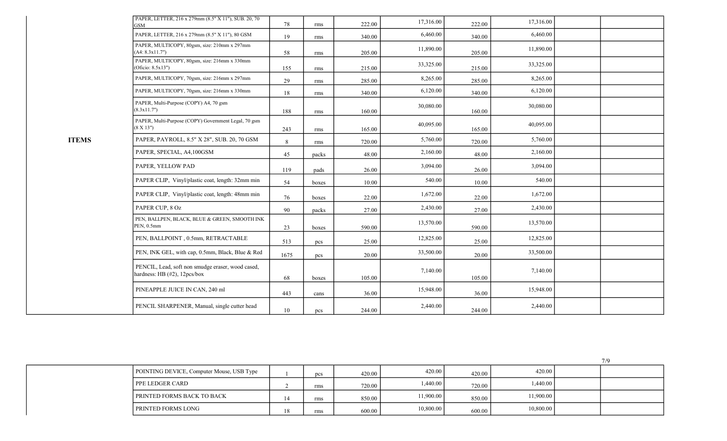| PAPER, LETTER, 216 x 279mm (8.5" X 11"), SUB. 20, 70<br>GSM                       | 78   | rms   | 222.00 | 17,316.00 | 222.00 | 17,316.00 |  |
|-----------------------------------------------------------------------------------|------|-------|--------|-----------|--------|-----------|--|
| PAPER, LETTER, 216 x 279mm (8.5" X 11"), 80 GSM                                   | 19   | rms   | 340.00 | 6,460.00  | 340.00 | 6,460.00  |  |
| PAPER, MULTICOPY, 80gsm, size: 210mm x 297mm<br>(A4: 8.3x11.7")                   | 58   | rms   | 205.00 | 11,890.00 | 205.00 | 11,890.00 |  |
| PAPER, MULTICOPY, 80gsm, size: 216mm x 330mm<br>Oficio: 8.5x13")                  | 155  | rms   | 215.00 | 33,325.00 | 215.00 | 33,325.00 |  |
| PAPER, MULTICOPY, 70gsm, size: 216mm x 297mm                                      | 29   | rms   | 285.00 | 8,265.00  | 285.00 | 8,265.00  |  |
| PAPER, MULTICOPY, 70gsm, size: 216mm x 330mm                                      | 18   | rms   | 340.00 | 6,120.00  | 340.00 | 6,120.00  |  |
| PAPER, Multi-Purpose (COPY) A4, 70 gsm<br>(8.3x11.7")                             | 188  | rms   | 160.00 | 30,080.00 | 160.00 | 30,080.00 |  |
| PAPER, Multi-Purpose (COPY) Government Legal, 70 gsm<br>$(8 \ X \ 13")$           | 243  | rms   | 165.00 | 40,095.00 | 165.00 | 40,095.00 |  |
| PAPER, PAYROLL, 8.5" X 28", SUB. 20, 70 GSM                                       | 8    | rms   | 720.00 | 5,760.00  | 720.00 | 5,760.00  |  |
| PAPER, SPECIAL, A4,100GSM                                                         | 45   | packs | 48.00  | 2,160.00  | 48.00  | 2,160.00  |  |
| PAPER, YELLOW PAD                                                                 | 119  | pads  | 26.00  | 3,094.00  | 26.00  | 3,094.00  |  |
| PAPER CLIP, Vinyl/plastic coat, length: 32mm min                                  | 54   | boxes | 10.00  | 540.00    | 10.00  | 540.00    |  |
| PAPER CLIP, Vinyl/plastic coat, length: 48mm min                                  | 76   | boxes | 22.00  | 1,672.00  | 22.00  | 1,672.00  |  |
| PAPER CUP, 8 Oz                                                                   | 90   | packs | 27.00  | 2,430.00  | 27.00  | 2,430.00  |  |
| PEN, BALLPEN, BLACK, BLUE & GREEN, SMOOTH INK<br>PEN, 0.5mm                       | 23   | boxes | 590.00 | 13,570.00 | 590.00 | 13,570.00 |  |
| PEN, BALLPOINT, 0.5mm, RETRACTABLE                                                | 513  | pcs   | 25.00  | 12,825.00 | 25.00  | 12,825.00 |  |
| PEN, INK GEL, with cap, 0.5mm, Black, Blue & Red                                  | 1675 | pcs   | 20.00  | 33,500.00 | 20.00  | 33,500.00 |  |
| PENCIL, Lead, soft non smudge eraser, wood cased,<br>hardness: HB (#2), 12pcs/box | 68   | boxes | 105.00 | 7,140.00  | 105.00 | 7,140.00  |  |
| PINEAPPLE JUICE IN CAN, 240 ml                                                    | 443  | cans  | 36.00  | 15,948.00 | 36.00  | 15,948.00 |  |
| PENCIL SHARPENER, Manual, single cutter head                                      | 10   | pcs   | 244.00 | 2,440.00  | 244.00 | 2,440.00  |  |

ITEMS

|                                           |     |        |           |        |           | 7/9 |
|-------------------------------------------|-----|--------|-----------|--------|-----------|-----|
| POINTING DEVICE, Computer Mouse, USB Type | pcs | 420.00 | 420.00    | 420.00 | 420.00    |     |
| <b>PPE LEDGER CARD</b>                    | rms | 720.00 | 1,440.00  | 720.00 | 1,440.00  |     |
| <b>PRINTED FORMS BACK TO BACK</b>         | rms | 850.00 | 11,900.00 | 850.00 | 11,900.00 |     |
| <b>PRINTED FORMS LONG</b>                 | rms | 600.00 | 10,800.00 | 600.00 | 10,800.00 |     |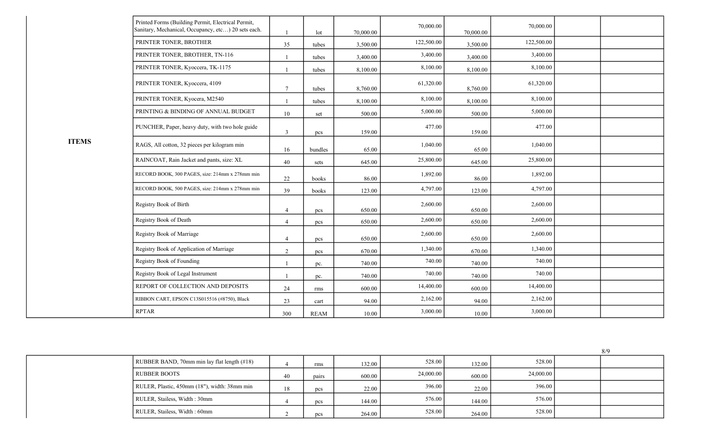|              | Printed Forms (Building Permit, Electrical Permit,<br>Sanitary, Mechanical, Occupancy, etc) 20 sets each. |                | lot         | 70,000.00 | 70,000.00  | 70,000.00 | 70,000.00  |  |
|--------------|-----------------------------------------------------------------------------------------------------------|----------------|-------------|-----------|------------|-----------|------------|--|
|              | PRINTER TONER, BROTHER                                                                                    | 35             | tubes       | 3,500.00  | 122,500.00 | 3,500.00  | 122,500.00 |  |
|              | PRINTER TONER, BROTHER, TN-116                                                                            |                | tubes       | 3,400.00  | 3,400.00   | 3,400.00  | 3,400.00   |  |
|              | PRINTER TONER, Kyoccera, TK-1175                                                                          |                | tubes       | 8,100.00  | 8,100.00   | 8,100.00  | 8,100.00   |  |
|              | PRINTER TONER, Kyoccera, 4109                                                                             | $\overline{7}$ | tubes       | 8,760.00  | 61,320.00  | 8,760.00  | 61,320.00  |  |
|              | PRINTER TONER, Kyocera, M2540                                                                             |                | tubes       | 8,100.00  | 8,100.00   | 8,100.00  | 8,100.00   |  |
|              | PRINTING & BINDING OF ANNUAL BUDGET                                                                       | 10             | set         | 500.00    | 5,000.00   | 500.00    | 5,000.00   |  |
|              | PUNCHER, Paper, heavy duty, with two hole guide                                                           | $\overline{3}$ | pcs         | 159.00    | 477.00     | 159.00    | 477.00     |  |
| <b>ITEMS</b> | RAGS, All cotton, 32 pieces per kilogram min                                                              | 16             | bundles     | 65.00     | 1,040.00   | 65.00     | 1,040.00   |  |
|              | RAINCOAT, Rain Jacket and pants, size: XL                                                                 | 40             | sets        | 645.00    | 25,800.00  | 645.00    | 25,800.00  |  |
|              | RECORD BOOK, 300 PAGES, size: 214mm x 278mm min                                                           | 22             | books       | 86.00     | 1,892.00   | 86.00     | 1,892.00   |  |
|              | RECORD BOOK, 500 PAGES, size: 214mm x 278mm min                                                           | 39             | books       | 123.00    | 4,797.00   | 123.00    | 4,797.00   |  |
|              | Registry Book of Birth                                                                                    | $\overline{4}$ | pcs         | 650.00    | 2,600.00   | 650.00    | 2,600.00   |  |
|              | Registry Book of Death                                                                                    | $\overline{4}$ | pcs         | 650.00    | 2,600.00   | 650.00    | 2,600.00   |  |
|              | Registry Book of Marriage                                                                                 | $\overline{4}$ | pcs         | 650.00    | 2,600.00   | 650.00    | 2,600.00   |  |
|              | Registry Book of Application of Marriage                                                                  | $\sqrt{2}$     | pcs         | 670.00    | 1,340.00   | 670.00    | 1,340.00   |  |
|              | Registry Book of Founding                                                                                 |                | pc.         | 740.00    | 740.00     | 740.00    | 740.00     |  |
|              | Registry Book of Legal Instrument                                                                         |                | pc.         | 740.00    | 740.00     | 740.00    | 740.00     |  |
|              | REPORT OF COLLECTION AND DEPOSITS                                                                         | 24             | rms         | 600.00    | 14,400.00  | 600.00    | 14,400.00  |  |
|              | RIBBON CART, EPSON C13S015516 (#8750), Black                                                              | 23             | cart        | 94.00     | 2,162.00   | 94.00     | 2,162.00   |  |
|              | <b>RPTAR</b>                                                                                              | 300            | <b>REAM</b> | 10.00     | 3,000.00   | 10.00     | 3,000.00   |  |

|  | RUBBER BAND, 70mm min lay flat length (#18)  |    | rms   | 132.00 | 528.00    | 132.00 | 528.00    |  |
|--|----------------------------------------------|----|-------|--------|-----------|--------|-----------|--|
|  | <b>RUBBER BOOTS</b>                          | 40 | pairs | 600.00 | 24,000.00 | 600.00 | 24,000.00 |  |
|  | RULER, Plastic, 450mm (18"), width: 38mm min | 18 | pcs   | 22.00  | 396.00    | 22.00  | 396.00    |  |
|  | RULER, Stailess, Width: 30mm                 |    | pcs   | 144.00 | 576.00    | 144.00 | 576.00    |  |
|  | RULER, Stailess, Width: 60mm                 |    | pcs   | 264.00 | 528.00    | 264.00 | 528.00    |  |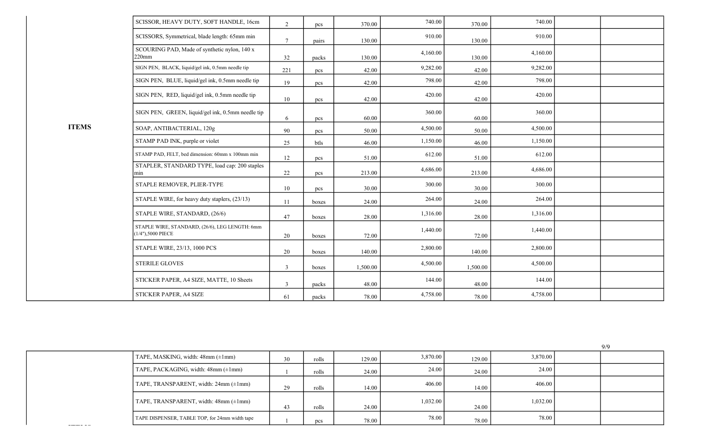|              | SCISSOR, HEAVY DUTY, SOFT HANDLE, 16cm                              | 2               | pcs   | 370.00   | 740.00   | 370.00   | 740.00   |  |
|--------------|---------------------------------------------------------------------|-----------------|-------|----------|----------|----------|----------|--|
|              | SCISSORS, Symmetrical, blade length: 65mm min                       | $7\phantom{.0}$ | pairs | 130.00   | 910.00   | 130.00   | 910.00   |  |
|              | SCOURING PAD, Made of synthetic nylon, 140 x<br>$220$ mm            | 32              | packs | 130.00   | 4,160.00 | 130.00   | 4,160.00 |  |
|              | SIGN PEN, BLACK, liquid/gel ink, 0.5mm needle tip                   | 221             | pcs   | 42.00    | 9,282.00 | 42.00    | 9,282.00 |  |
|              | SIGN PEN, BLUE, liquid/gel ink, 0.5mm needle tip                    | 19              | pcs   | 42.00    | 798.00   | 42.00    | 798.00   |  |
|              | SIGN PEN, RED, liquid/gel ink, 0.5mm needle tip                     | 10              | pcs   | 42.00    | 420.00   | 42.00    | 420.00   |  |
|              | SIGN PEN, GREEN, liquid/gel ink, 0.5mm needle tip                   | 6               | pcs   | 60.00    | 360.00   | 60.00    | 360.00   |  |
| <b>ITEMS</b> | SOAP, ANTIBACTERIAL, 120g                                           | 90              | pcs   | 50.00    | 4,500.00 | 50.00    | 4,500.00 |  |
|              | STAMP PAD INK, purple or violet                                     | 25              | btls  | 46.00    | 1,150.00 | 46.00    | 1,150.00 |  |
|              | STAMP PAD, FELT, bed dimension: 60mm x 100mm min                    | 12              | pcs   | 51.00    | 612.00   | 51.00    | 612.00   |  |
|              | STAPLER, STANDARD TYPE, load cap: 200 staples<br>min                | 22              | pcs   | 213.00   | 4,686.00 | 213.00   | 4,686.00 |  |
|              | STAPLE REMOVER, PLIER-TYPE                                          | $10\,$          | pcs   | 30.00    | 300.00   | 30.00    | 300.00   |  |
|              | STAPLE WIRE, for heavy duty staplers, (23/13)                       | 11              | boxes | 24.00    | 264.00   | 24.00    | 264.00   |  |
|              | STAPLE WIRE, STANDARD, (26/6)                                       | 47              | boxes | 28.00    | 1,316.00 | 28.00    | 1,316.00 |  |
|              | STAPLE WIRE, STANDARD, (26/6), LEG LENGTH: 6mm<br>(1/4"),5000 PIECE | 20              | boxes | 72.00    | 1,440.00 | 72.00    | 1,440.00 |  |
|              | STAPLE WIRE, 23/13, 1000 PCS                                        | 20              | boxes | 140.00   | 2,800.00 | 140.00   | 2,800.00 |  |
|              | STERILE GLOVES                                                      | 3               | boxes | 1,500.00 | 4,500.00 | 1,500.00 | 4,500.00 |  |
|              | STICKER PAPER, A4 SIZE, MATTE, 10 Sheets                            | $\overline{3}$  | packs | 48.00    | 144.00   | 48.00    | 144.00   |  |
|              | STICKER PAPER, A4 SIZE                                              | 61              | packs | 78.00    | 4,758.00 | 78.00    | 4,758.00 |  |

|                                                 |    |              |        |          |        |          | <i>,,,</i> |
|-------------------------------------------------|----|--------------|--------|----------|--------|----------|------------|
| TAPE, MASKING, width: $48mm (\pm 1mm)$          | 30 | rolls        | 129.00 | 3,870.00 | 129.00 | 3,870.00 |            |
| $TAPE$ , PACKAGING, width: 48mm $(\pm 1$ mm)    |    | rolls        | 24.00  | 24.00    | 24.00  | 24.00    |            |
| $Tape$ , TRANSPARENT, width: 24mm ( $\pm 1$ mm) | 29 | rolls        | 14.00  | 406.00   | 14.00  | 406.00   |            |
| $Tape$ , TRANSPARENT, width: 48mm ( $\pm 1$ mm) | 43 | rolls        | 24.00  | 1,032.00 | 24.00  | 1,032.00 |            |
| TAPE DISPENSER, TABLE TOP, for 24mm width tape  |    | $_{\rm pcs}$ | 78.00  | 78.00    | 78.00  | 78.00    |            |